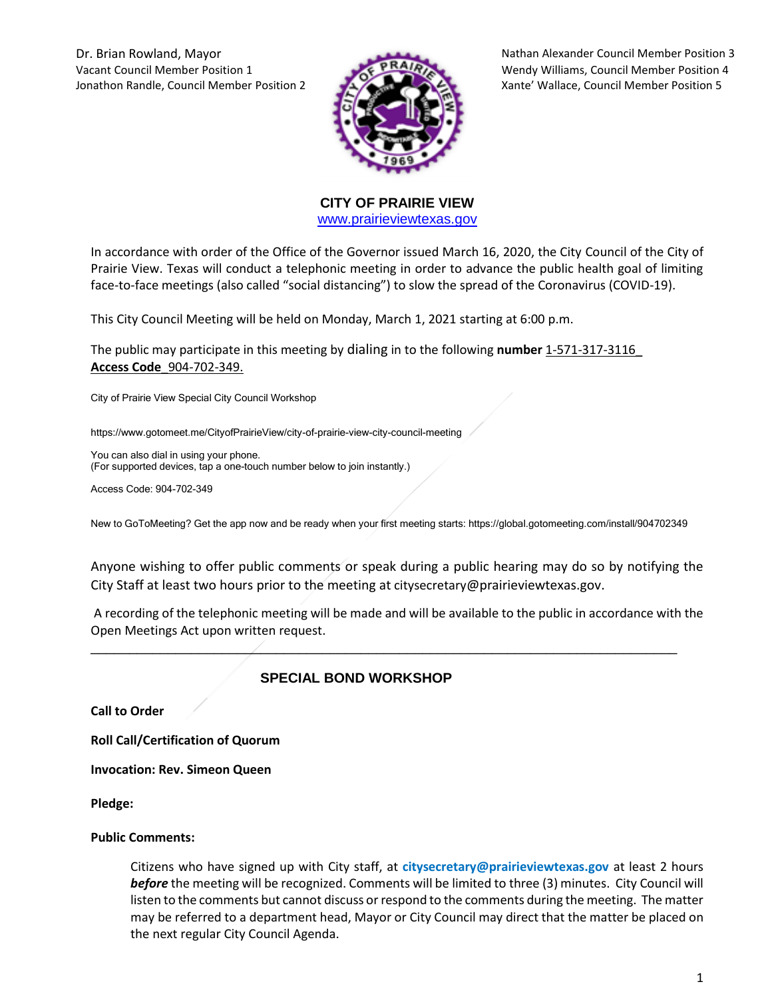Vacant Council Member Position 1 Wendy Williams, Council Member Position 4 Jonathon Randle, Council Member Position 2 Xante' Wallace, Council Member Position 5



Dr. Brian Rowland, Mayor Nathan Alexander Council Member Position 3

**CITY OF PRAIRIE VIEW**  [www.prairieviewtexas.gov](http://www.prairieviewtexas.gov/)

In accordance with order of the Office of the Governor issued March 16, 2020, the City Council of the City of Prairie View. Texas will conduct a telephonic meeting in order to advance the public health goal of limiting face-to-face meetings (also called "social distancing") to slow the spread of the Coronavirus (COVID-19).

This City Council Meeting will be held on Monday, March 1, 2021 starting at 6:00 p.m.

The public may participate in this meeting by dialing in to the following **number** 1-571-317-3116\_ **Access Code**\_904-702-349.

City of Prairie View Special City Council Workshop

https://www.gotomeet.me/CityofPrairieView/city-of-prairie-view-city-council-meeting

You can also dial in using your phone. (For supported devices, tap a one-touch number below to join instantly.)

Access Code: 904-702-349

New to GoToMeeting? Get the app now and be ready when your first meeting starts: https://global.gotomeeting.com/install/904702349

Anyone wishing to offer public comments or speak during a public hearing may do so by notifying the City Staff at least two hours prior to the meeting at citysecretary@prairieviewtexas.gov.

A recording of the telephonic meeting will be made and will be available to the public in accordance with the Open Meetings Act upon written request.

\_\_\_\_\_\_\_\_\_\_\_\_\_\_\_\_\_\_\_\_\_\_\_\_\_\_\_\_\_\_\_\_\_\_\_\_\_\_\_\_\_\_\_\_\_\_\_\_\_\_\_\_\_\_\_\_\_\_\_\_\_\_\_\_\_\_\_\_\_\_\_\_\_\_\_\_

## **SPECIAL BOND WORKSHOP**

**Call to Order**

**Roll Call/Certification of Quorum**

**Invocation: Rev. Simeon Queen**

**Pledge:** 

## **Public Comments:**

Citizens who have signed up with City staff, at **citysecretary@prairieviewtexas.gov** at least 2 hours *before* the meeting will be recognized. Comments will be limited to three (3) minutes. City Council will listen to the comments but cannot discuss or respond to the comments during the meeting. The matter may be referred to a department head, Mayor or City Council may direct that the matter be placed on the next regular City Council Agenda.